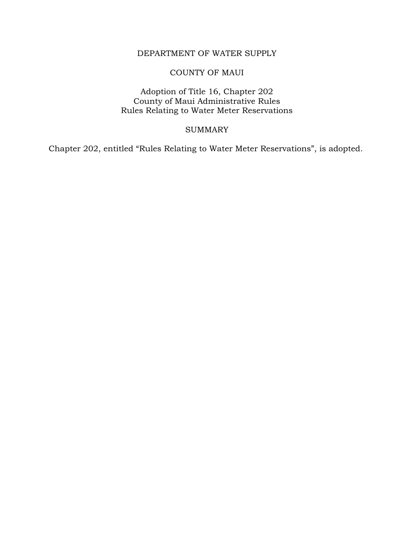# DEPARTMENT OF WATER SUPPLY

## COUNTY OF MAUI

## Adoption of Title 16, Chapter 202 County of Maui Administrative Rules Rules Relating to Water Meter Reservations

#### SUMMARY

Chapter 202, entitled "Rules Relating to Water Meter Reservations", is adopted.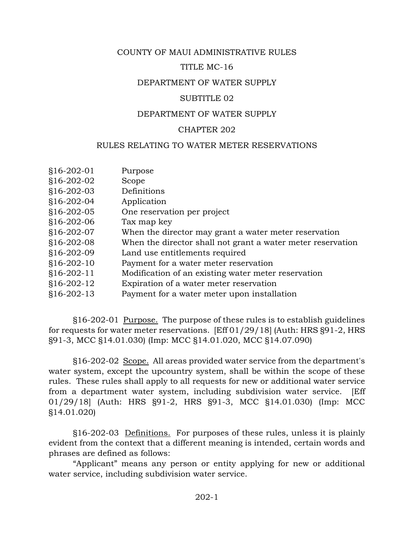## COUNTY OF MAUI ADMINISTRATIVE RULES

## TITLE MC-16

## DEPARTMENT OF WATER SUPPLY

## SUBTITLE 02

## DEPARTMENT OF WATER SUPPLY

## CHAPTER 202

## RULES RELATING TO WATER METER RESERVATIONS

| §16-202-01   | Purpose                                                     |
|--------------|-------------------------------------------------------------|
| §16-202-02   | Scope                                                       |
| $$16-202-03$ | Definitions                                                 |
| $$16-202-04$ | Application                                                 |
| §16-202-05   | One reservation per project                                 |
| §16-202-06   | Tax map key                                                 |
| $$16-202-07$ | When the director may grant a water meter reservation       |
| §16-202-08   | When the director shall not grant a water meter reservation |
| §16-202-09   | Land use entitlements required                              |
| $$16-202-10$ | Payment for a water meter reservation                       |
| $$16-202-11$ | Modification of an existing water meter reservation         |
| $$16-202-12$ | Expiration of a water meter reservation                     |
| $$16-202-13$ | Payment for a water meter upon installation                 |
|              |                                                             |

§16-202-01 Purpose. The purpose of these rules is to establish guidelines for requests for water meter reservations. [Eff 01/29/18] (Auth: HRS §91-2, HRS §91-3, MCC §14.01.030) (Imp: MCC §14.01.020, MCC §14.07.090)

§16-202-02 Scope. All areas provided water service from the department's water system, except the upcountry system, shall be within the scope of these rules. These rules shall apply to all requests for new or additional water service from a department water system, including subdivision water service. [Eff 01/29/18] (Auth: HRS §91-2, HRS §91-3, MCC §14.01.030) (Imp: MCC §14.01.020)

§16-202-03 Definitions. For purposes of these rules, unless it is plainly evident from the context that a different meaning is intended, certain words and phrases are defined as follows:

"Applicant" means any person or entity applying for new or additional water service, including subdivision water service.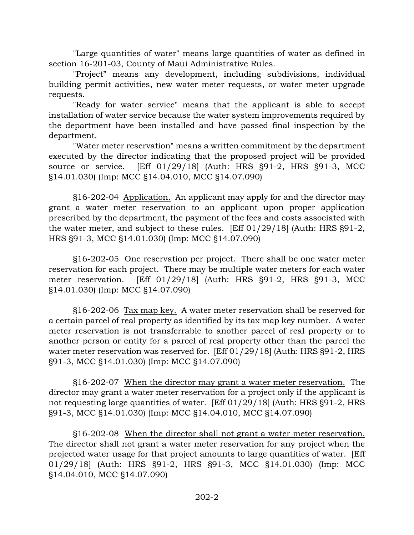"Large quantities of water" means large quantities of water as defined in section 16-201-03, County of Maui Administrative Rules.

"Project" means any development, including subdivisions, individual building permit activities, new water meter requests, or water meter upgrade requests.

"Ready for water service" means that the applicant is able to accept installation of water service because the water system improvements required by the department have been installed and have passed final inspection by the department.

"Water meter reservation" means a written commitment by the department executed by the director indicating that the proposed project will be provided source or service. [Eff 01/29/18] (Auth: HRS §91-2, HRS §91-3, MCC §14.01.030) (Imp: MCC §14.04.010, MCC §14.07.090)

§16-202-04 Application. An applicant may apply for and the director may grant a water meter reservation to an applicant upon proper application prescribed by the department, the payment of the fees and costs associated with the water meter, and subject to these rules. [Eff 01/29/18] (Auth: HRS §91-2, HRS §91-3, MCC §14.01.030) (Imp: MCC §14.07.090)

§16-202-05 One reservation per project. There shall be one water meter reservation for each project. There may be multiple water meters for each water meter reservation. [Eff 01/29/18] (Auth: HRS §91-2, HRS §91-3, MCC §14.01.030) (Imp: MCC §14.07.090)

§16-202-06 Tax map key. A water meter reservation shall be reserved for a certain parcel of real property as identified by its tax map key number. A water meter reservation is not transferrable to another parcel of real property or to another person or entity for a parcel of real property other than the parcel the water meter reservation was reserved for. [Eff 01/29/18] (Auth: HRS §91-2, HRS §91-3, MCC §14.01.030) (Imp: MCC §14.07.090)

§16-202-07 When the director may grant a water meter reservation. The director may grant a water meter reservation for a project only if the applicant is not requesting large quantities of water. [Eff 01/29/18] (Auth: HRS §91-2, HRS §91-3, MCC §14.01.030) (Imp: MCC §14.04.010, MCC §14.07.090)

§16-202-08 When the director shall not grant a water meter reservation. The director shall not grant a water meter reservation for any project when the projected water usage for that project amounts to large quantities of water. [Eff 01/29/18] (Auth: HRS §91-2, HRS §91-3, MCC §14.01.030) (Imp: MCC §14.04.010, MCC §14.07.090)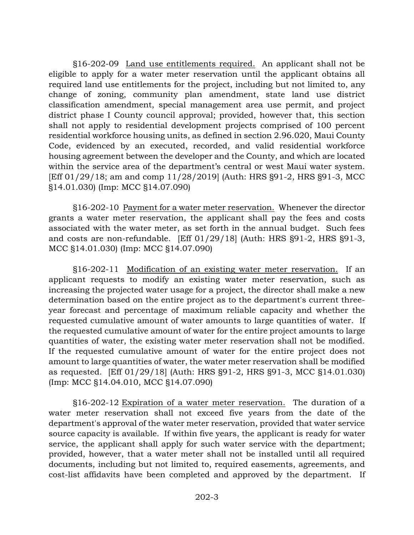§16-202-09 Land use entitlements required. An applicant shall not be eligible to apply for a water meter reservation until the applicant obtains all required land use entitlements for the project, including but not limited to, any change of zoning, community plan amendment, state land use district classification amendment, special management area use permit, and project district phase I County council approval; provided, however that, this section shall not apply to residential development projects comprised of 100 percent residential workforce housing units, as defined in section 2.96.020, Maui County Code, evidenced by an executed, recorded, and valid residential workforce housing agreement between the developer and the County, and which are located within the service area of the department's central or west Maui water system. [Eff 01/29/18; am and comp 11/28/2019] (Auth: HRS §91-2, HRS §91-3, MCC §14.01.030) (Imp: MCC §14.07.090)

§16-202-10 Payment for a water meter reservation. Whenever the director grants a water meter reservation, the applicant shall pay the fees and costs associated with the water meter, as set forth in the annual budget. Such fees and costs are non-refundable. [Eff 01/29/18] (Auth: HRS §91-2, HRS §91-3, MCC §14.01.030) (Imp: MCC §14.07.090)

§16-202-11 Modification of an existing water meter reservation. If an applicant requests to modify an existing water meter reservation, such as increasing the projected water usage for a project, the director shall make a new determination based on the entire project as to the department's current threeyear forecast and percentage of maximum reliable capacity and whether the requested cumulative amount of water amounts to large quantities of water. If the requested cumulative amount of water for the entire project amounts to large quantities of water, the existing water meter reservation shall not be modified. If the requested cumulative amount of water for the entire project does not amount to large quantities of water, the water meter reservation shall be modified as requested. [Eff 01/29/18] (Auth: HRS §91-2, HRS §91-3, MCC §14.01.030) (Imp: MCC §14.04.010, MCC §14.07.090)

§16-202-12 Expiration of a water meter reservation. The duration of a water meter reservation shall not exceed five years from the date of the department's approval of the water meter reservation, provided that water service source capacity is available. If within five years, the applicant is ready for water service, the applicant shall apply for such water service with the department; provided, however, that a water meter shall not be installed until all required documents, including but not limited to, required easements, agreements, and cost-list affidavits have been completed and approved by the department. If